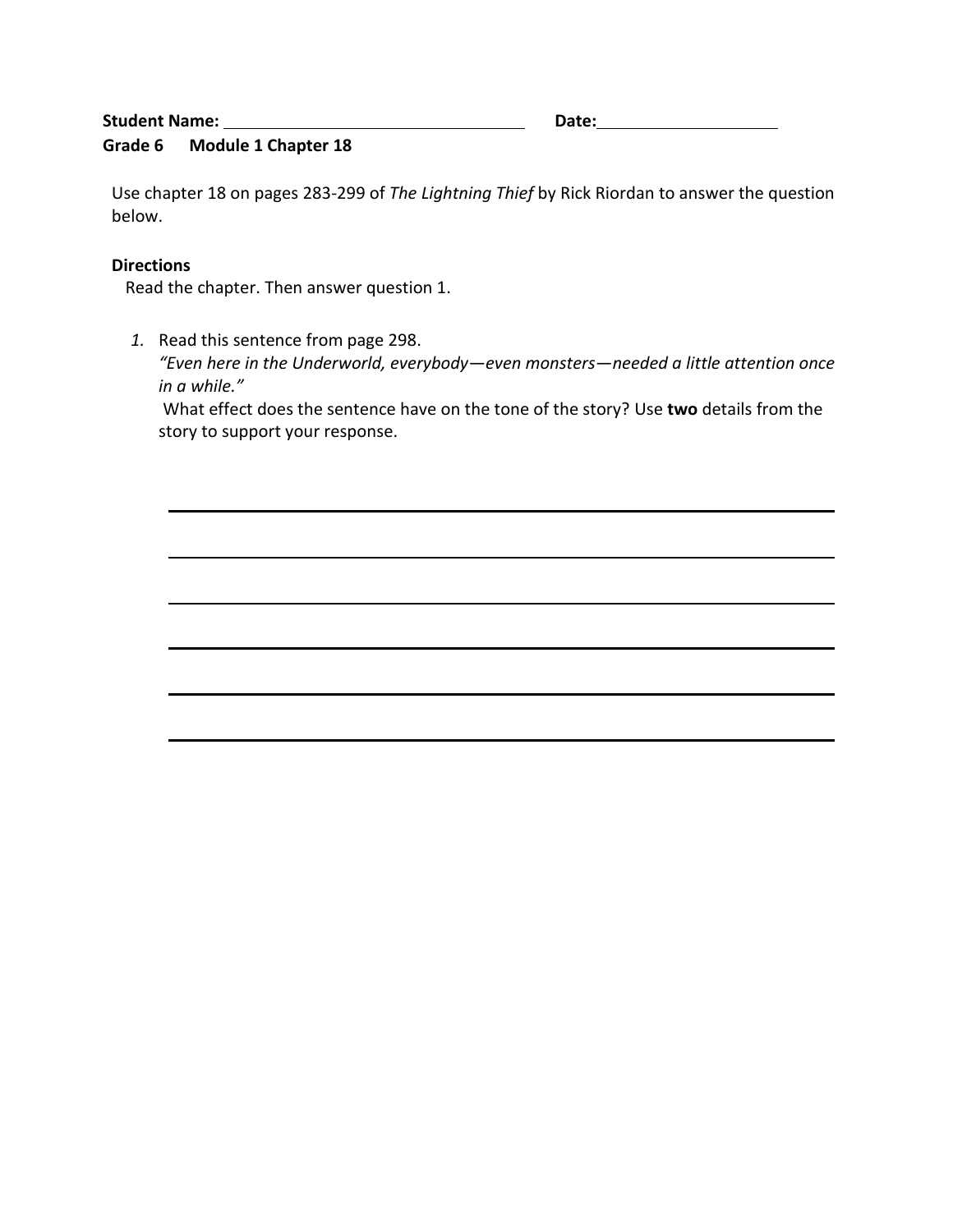# **Student Name:** Date: Date:

## **Grade 6 Module 1 Chapter 18**

Use chapter 18 on pages 283-299 of *The Lightning Thief* by Rick Riordan to answer the question below.

## **Directions**

Read the chapter. Then answer question 1.

*1.* Read this sentence from page 298.

*"Even here in the Underworld, everybody—even monsters—needed a little attention once in a while."*

What effect does the sentence have on the tone of the story? Use **two** details from the story to support your response.